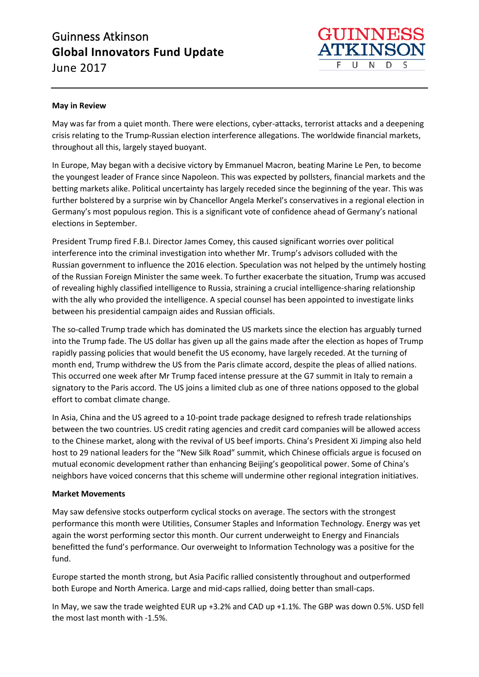# Guinness Atkinson **Global Innovators Fund Update** June 2017



### **May in Review**

May was far from a quiet month. There were elections, cyber-attacks, terrorist attacks and a deepening crisis relating to the Trump-Russian election interference allegations. The worldwide financial markets, throughout all this, largely stayed buoyant.

In Europe, May began with a decisive victory by Emmanuel Macron, beating Marine Le Pen, to become the youngest leader of France since Napoleon. This was expected by pollsters, financial markets and the betting markets alike. Political uncertainty has largely receded since the beginning of the year. This was further bolstered by a surprise win by Chancellor Angela Merkel's conservatives in a regional election in Germany's most populous region. This is a significant vote of confidence ahead of Germany's national elections in September.

President Trump fired F.B.I. Director James Comey, this caused significant worries over political interference into the criminal investigation into whether Mr. Trump's advisors colluded with the Russian government to influence the 2016 election. Speculation was not helped by the untimely hosting of the Russian Foreign Minister the same week. To further exacerbate the situation, Trump was accused of revealing highly classified intelligence to Russia, straining a crucial intelligence-sharing relationship with the ally who provided the intelligence. A special counsel has been appointed to investigate links between his presidential campaign aides and Russian officials.

The so-called Trump trade which has dominated the US markets since the election has arguably turned into the Trump fade. The US dollar has given up all the gains made after the election as hopes of Trump rapidly passing policies that would benefit the US economy, have largely receded. At the turning of month end, Trump withdrew the US from the Paris climate accord, despite the pleas of allied nations. This occurred one week after Mr Trump faced intense pressure at the G7 summit in Italy to remain a signatory to the Paris accord. The US joins a limited club as one of three nations opposed to the global effort to combat climate change.

In Asia, China and the US agreed to a 10-point trade package designed to refresh trade relationships between the two countries. US credit rating agencies and credit card companies will be allowed access to the Chinese market, along with the revival of US beef imports. China's President Xi Jimping also held host to 29 national leaders for the "New Silk Road" summit, which Chinese officials argue is focused on mutual economic development rather than enhancing Beijing's geopolitical power. Some of China's neighbors have voiced concerns that this scheme will undermine other regional integration initiatives.

#### **Market Movements**

May saw defensive stocks outperform cyclical stocks on average. The sectors with the strongest performance this month were Utilities, Consumer Staples and Information Technology. Energy was yet again the worst performing sector this month. Our current underweight to Energy and Financials benefitted the fund's performance. Our overweight to Information Technology was a positive for the fund.

Europe started the month strong, but Asia Pacific rallied consistently throughout and outperformed both Europe and North America. Large and mid-caps rallied, doing better than small-caps.

In May, we saw the trade weighted EUR up +3.2% and CAD up +1.1%. The GBP was down 0.5%. USD fell the most last month with -1.5%.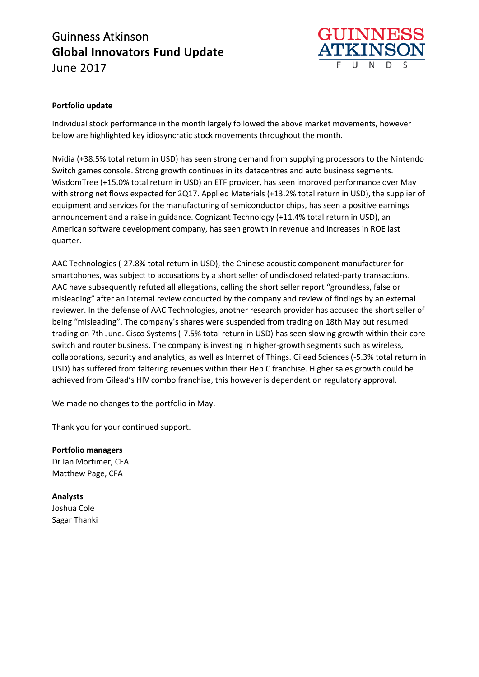# Guinness Atkinson **Global Innovators Fund Update** June 2017



## **Portfolio update**

Individual stock performance in the month largely followed the above market movements, however below are highlighted key idiosyncratic stock movements throughout the month.

Nvidia (+38.5% total return in USD) has seen strong demand from supplying processors to the Nintendo Switch games console. Strong growth continues in its datacentres and auto business segments. WisdomTree (+15.0% total return in USD) an ETF provider, has seen improved performance over May with strong net flows expected for 2Q17. Applied Materials (+13.2% total return in USD), the supplier of equipment and services for the manufacturing of semiconductor chips, has seen a positive earnings announcement and a raise in guidance. Cognizant Technology (+11.4% total return in USD), an American software development company, has seen growth in revenue and increases in ROE last quarter.

AAC Technologies (-27.8% total return in USD), the Chinese acoustic component manufacturer for smartphones, was subject to accusations by a short seller of undisclosed related-party transactions. AAC have subsequently refuted all allegations, calling the short seller report "groundless, false or misleading" after an internal review conducted by the company and review of findings by an external reviewer. In the defense of AAC Technologies, another research provider has accused the short seller of being "misleading". The company's shares were suspended from trading on 18th May but resumed trading on 7th June. Cisco Systems (-7.5% total return in USD) has seen slowing growth within their core switch and router business. The company is investing in higher-growth segments such as wireless, collaborations, security and analytics, as well as Internet of Things. Gilead Sciences (-5.3% total return in USD) has suffered from faltering revenues within their Hep C franchise. Higher sales growth could be achieved from Gilead's HIV combo franchise, this however is dependent on regulatory approval.

We made no changes to the portfolio in May.

Thank you for your continued support.

**Portfolio managers** Dr Ian Mortimer, CFA Matthew Page, CFA

**Analysts** Joshua Cole Sagar Thanki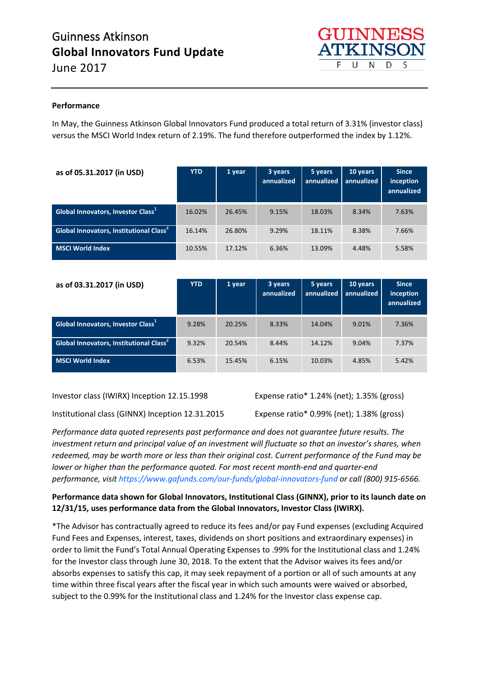

### **Performance**

In May, the Guinness Atkinson Global Innovators Fund produced a total return of 3.31% (investor class) versus the MSCI World Index return of 2.19%. The fund therefore outperformed the index by 1.12%.

| as of 05.31.2017 (in USD)                                 | <b>YTD</b> | 1 year | 3 years<br>annualized | 5 years<br>annualized | 10 years<br>annualized | <b>Since</b><br>inception<br>annualized |
|-----------------------------------------------------------|------------|--------|-----------------------|-----------------------|------------------------|-----------------------------------------|
| Global Innovators, Investor Class <sup>1</sup>            | 16.02%     | 26.45% | 9.15%                 | 18.03%                | 8.34%                  | 7.63%                                   |
| <b>Global Innovators, Institutional Class<sup>2</sup></b> | 16.14%     | 26.80% | 9.29%                 | 18.11%                | 8.38%                  | 7.66%                                   |
| <b>MSCI World Index</b>                                   | 10.55%     | 17.12% | 6.36%                 | 13.09%                | 4.48%                  | 5.58%                                   |

| as of 03.31.2017 (in USD)                                 | <b>YTD</b> | 1 year | 3 years<br>annualized | 5 years<br>annualized | 10 years<br>annualized | <b>Since</b><br>inception<br>annualized |
|-----------------------------------------------------------|------------|--------|-----------------------|-----------------------|------------------------|-----------------------------------------|
| Global Innovators, Investor Class <sup>+</sup>            | 9.28%      | 20.25% | 8.33%                 | 14.04%                | 9.01%                  | 7.36%                                   |
| <b>Global Innovators, Institutional Class<sup>2</sup></b> | 9.32%      | 20.54% | 8.44%                 | 14.12%                | 9.04%                  | 7.37%                                   |
| MSCI World Index                                          | 6.53%      | 15.45% | 6.15%                 | 10.03%                | 4.85%                  | 5.42%                                   |

Investor class (IWIRX) Inception 12.15.1998 Expense ratio\* 1.24% (net); 1.35% (gross)

Institutional class (GINNX) Inception 12.31.2015 Expense ratio\* 0.99% (net); 1.38% (gross)

*Performance data quoted represents past performance and does not guarantee future results. The* 

*investment return and principal value of an investment will fluctuate so that an investor's shares, when redeemed, may be worth more or less than their original cost. Current performance of the Fund may be lower or higher than the performance quoted. For most recent month-end and quarter-end performance, visi[t https://www.gafunds.com/our-funds/global-innovators-fund](https://www.gafunds.com/our-funds/global-innovators-fund/#fund_performance) or call (800) 915-6566.* 

## **Performance data shown for Global Innovators, Institutional Class (GINNX), prior to its launch date on 12/31/15, uses performance data from the Global Innovators, Investor Class (IWIRX).**

\*The Advisor has contractually agreed to reduce its fees and/or pay Fund expenses (excluding Acquired Fund Fees and Expenses, interest, taxes, dividends on short positions and extraordinary expenses) in order to limit the Fund's Total Annual Operating Expenses to .99% for the Institutional class and 1.24% for the Investor class through June 30, 2018. To the extent that the Advisor waives its fees and/or absorbs expenses to satisfy this cap, it may seek repayment of a portion or all of such amounts at any time within three fiscal years after the fiscal year in which such amounts were waived or absorbed, subject to the 0.99% for the Institutional class and 1.24% for the Investor class expense cap.